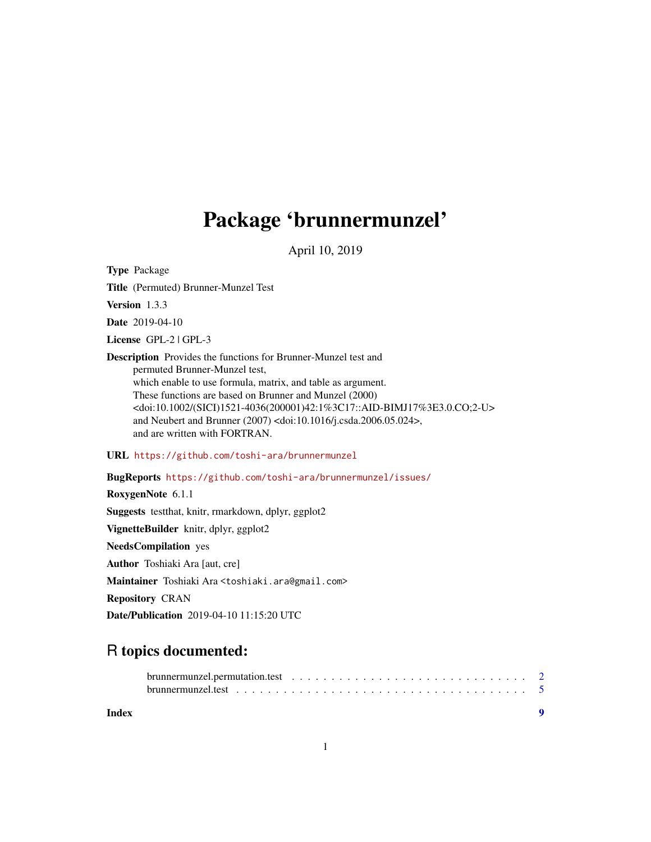## Package 'brunnermunzel'

April 10, 2019

<span id="page-0-0"></span>Type Package

Title (Permuted) Brunner-Munzel Test

Version 1.3.3

Date 2019-04-10

License GPL-2 | GPL-3

Description Provides the functions for Brunner-Munzel test and permuted Brunner-Munzel test, which enable to use formula, matrix, and table as argument. These functions are based on Brunner and Munzel (2000) <doi:10.1002/(SICI)1521-4036(200001)42:1%3C17::AID-BIMJ17%3E3.0.CO;2-U> and Neubert and Brunner (2007) <doi:10.1016/j.csda.2006.05.024>, and are written with FORTRAN.

URL <https://github.com/toshi-ara/brunnermunzel>

BugReports <https://github.com/toshi-ara/brunnermunzel/issues/> RoxygenNote 6.1.1 Suggests testthat, knitr, rmarkdown, dplyr, ggplot2 VignetteBuilder knitr, dplyr, ggplot2 NeedsCompilation yes Author Toshiaki Ara [aut, cre] Maintainer Toshiaki Ara <toshiaki.ara@gmail.com> Repository CRAN

### R topics documented:

Date/Publication 2019-04-10 11:15:20 UTC

| brunnermunzel.permutation.test $\ldots \ldots \ldots \ldots \ldots \ldots \ldots \ldots \ldots \ldots$ |  |  |  |  |  |  |  |  |  |  |  |  |  |  |
|--------------------------------------------------------------------------------------------------------|--|--|--|--|--|--|--|--|--|--|--|--|--|--|
|                                                                                                        |  |  |  |  |  |  |  |  |  |  |  |  |  |  |
|                                                                                                        |  |  |  |  |  |  |  |  |  |  |  |  |  |  |

**Index** [9](#page-8-0)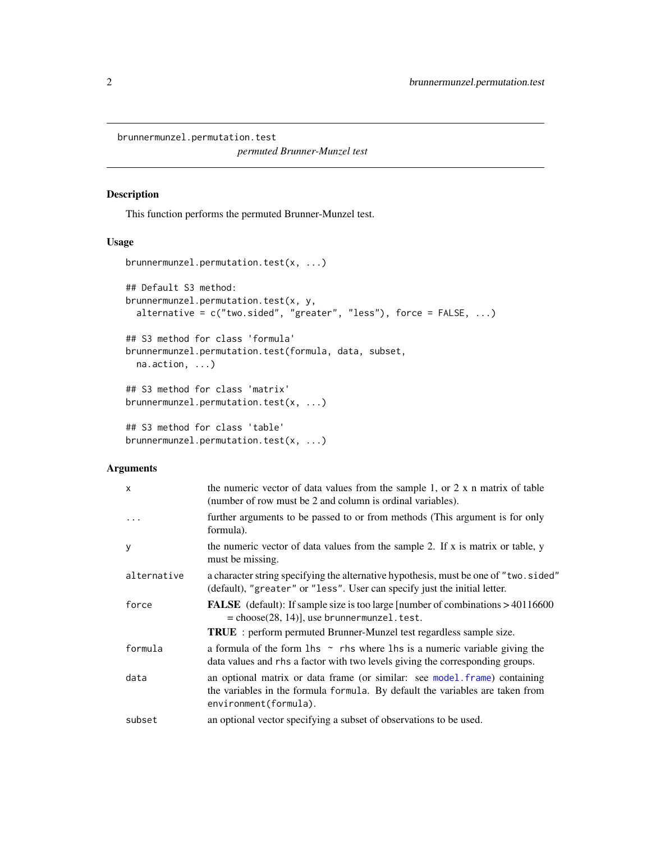<span id="page-1-0"></span>brunnermunzel.permutation.test

*permuted Brunner-Munzel test*

#### Description

This function performs the permuted Brunner-Munzel test.

#### Usage

```
brunnermunzel.permutation.test(x, ...)
## Default S3 method:
brunnermunzel.permutation.test(x, y,
 alternative = c("two.sided", "greater", "less"), force = FALSE, ...)
## S3 method for class 'formula'
brunnermunzel.permutation.test(formula, data, subset,
 na.action, ...)
## S3 method for class 'matrix'
brunnermunzel.permutation.test(x, ...)
## S3 method for class 'table'
brunnermunzel.permutation.test(x, ...)
```
#### Arguments

| $\mathsf{x}$ | the numeric vector of data values from the sample 1, or $2 \times n$ matrix of table<br>(number of row must be 2 and column is ordinal variables).                                                                    |
|--------------|-----------------------------------------------------------------------------------------------------------------------------------------------------------------------------------------------------------------------|
| $\cdots$     | further arguments to be passed to or from methods (This argument is for only<br>formula).                                                                                                                             |
| y            | the numeric vector of data values from the sample 2. If x is matrix or table, y<br>must be missing.                                                                                                                   |
| alternative  | a character string specifying the alternative hypothesis, must be one of "two.sided"<br>(default), "greater" or "less". User can specify just the initial letter.                                                     |
| force        | <b>FALSE</b> (default): If sample size is too large [number of combinations > 40116600<br>$=$ choose(28, 14)], use brunnermunzel. test.<br><b>TRUE</b> : perform permuted Brunner-Munzel test regardless sample size. |
| formula      | a formula of the form $\ln s \sim$ rhs where $\ln s$ is a numeric variable giving the<br>data values and rhs a factor with two levels giving the corresponding groups.                                                |
| data         | an optional matrix or data frame (or similar: see model frame) containing<br>the variables in the formula formula. By default the variables are taken from<br>environment(formula).                                   |
| subset       | an optional vector specifying a subset of observations to be used.                                                                                                                                                    |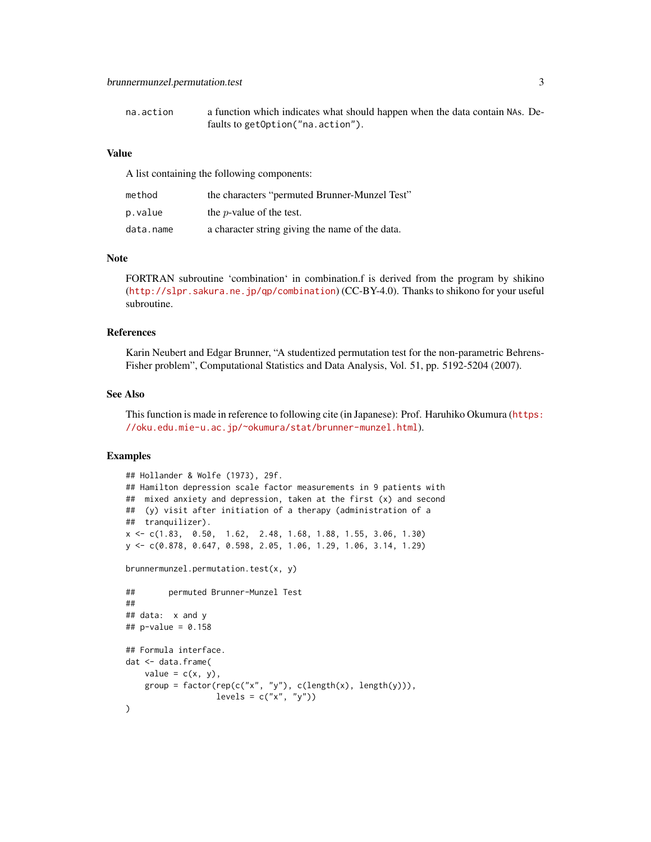| na.action | a function which indicates what should happen when the data contain NAs. De- |
|-----------|------------------------------------------------------------------------------|
|           | faults to getOption("na.action").                                            |

#### Value

A list containing the following components:

| method    | the characters "permuted Brunner-Munzel Test"   |
|-----------|-------------------------------------------------|
| p.value   | the <i>p</i> -value of the test.                |
| data.name | a character string giving the name of the data. |

#### **Note**

FORTRAN subroutine 'combination' in combination.f is derived from the program by shikino (<http://slpr.sakura.ne.jp/qp/combination>) (CC-BY-4.0). Thanks to shikono for your useful subroutine.

#### References

Karin Neubert and Edgar Brunner, "A studentized permutation test for the non-parametric Behrens-Fisher problem", Computational Statistics and Data Analysis, Vol. 51, pp. 5192-5204 (2007).

#### See Also

This function is made in reference to following cite (in Japanese): Prof. Haruhiko Okumura ([https:](https://oku.edu.mie-u.ac.jp/~okumura/stat/brunner-munzel.html) [//oku.edu.mie-u.ac.jp/~okumura/stat/brunner-munzel.html](https://oku.edu.mie-u.ac.jp/~okumura/stat/brunner-munzel.html)).

#### Examples

```
## Hollander & Wolfe (1973), 29f.
## Hamilton depression scale factor measurements in 9 patients with
## mixed anxiety and depression, taken at the first (x) and second
## (y) visit after initiation of a therapy (administration of a
## tranquilizer).
x <- c(1.83, 0.50, 1.62, 2.48, 1.68, 1.88, 1.55, 3.06, 1.30)
y <- c(0.878, 0.647, 0.598, 2.05, 1.06, 1.29, 1.06, 3.14, 1.29)
brunnermunzel.permutation.test(x, y)
## permuted Brunner-Munzel Test
##
## data: x and y
## p-value = 0.158
## Formula interface.
dat <- data.frame(
   value = c(x, y),
   group = factor(rep(c("x", "y"), c(length(x), length(y))),
                  levels = c("x", "y"))
```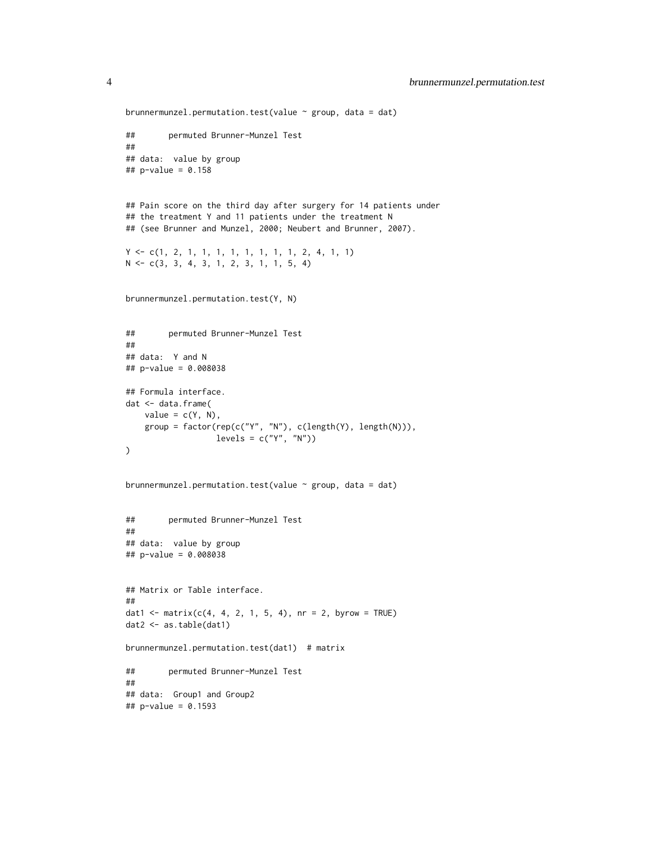```
brunnermunzel.permutation.test(value \sim group, data = dat)
## permuted Brunner-Munzel Test
##
## data: value by group
## p-value = 0.158
## Pain score on the third day after surgery for 14 patients under
## the treatment Y and 11 patients under the treatment N
## (see Brunner and Munzel, 2000; Neubert and Brunner, 2007).
Y <- c(1, 2, 1, 1, 1, 1, 1, 1, 1, 1, 2, 4, 1, 1)
N <- c(3, 3, 4, 3, 1, 2, 3, 1, 1, 5, 4)
brunnermunzel.permutation.test(Y, N)
## permuted Brunner-Munzel Test
##
## data: Y and N
## p-value = 0.008038
## Formula interface.
dat <- data.frame(
   value = c(Y, N),
   group = factor(rep(c("Y", "N"), c(length(Y), length(N))),
                  levels = c("Y", "N"))
)
brunnermunzel.permutation.test(value ~ group, data = dat)
## permuted Brunner-Munzel Test
##
## data: value by group
## p-value = 0.008038
## Matrix or Table interface.
##
dat1 <- matrix(c(4, 4, 2, 1, 5, 4), nr = 2, byrow = TRUE)
dat2 <- as.table(dat1)
brunnermunzel.permutation.test(dat1) # matrix
## permuted Brunner-Munzel Test
##
## data: Group1 and Group2
## p-value = 0.1593
```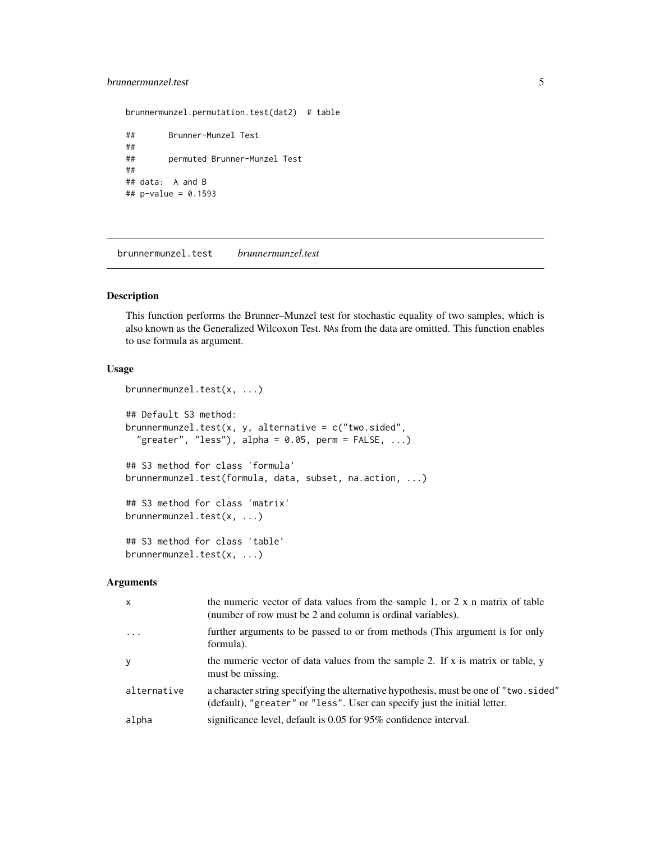#### <span id="page-4-0"></span>brunnermunzel.test 5

```
brunnermunzel.permutation.test(dat2) # table
## Brunner-Munzel Test
##
## permuted Brunner-Munzel Test
##
## data: A and B
## p-value = 0.1593
```
brunnermunzel.test *brunnermunzel.test*

#### Description

This function performs the Brunner–Munzel test for stochastic equality of two samples, which is also known as the Generalized Wilcoxon Test. NAs from the data are omitted. This function enables to use formula as argument.

#### Usage

```
brunnermunzel.test(x, ...)
## Default S3 method:
brunnermunzel.test(x, y, alternative = c("two.sided",
  "greater", "less"), alpha = 0.05, perm = FALSE, ...)
## S3 method for class 'formula'
brunnermunzel.test(formula, data, subset, na.action, ...)
## S3 method for class 'matrix'
brunnermunzel.test(x, ...)
## S3 method for class 'table'
brunnermunzel.test(x, ...)
```
#### Arguments

| $\mathsf{x}$ | the numeric vector of data values from the sample 1, or 2 x n matrix of table<br>(number of row must be 2 and column is ordinal variables).                       |
|--------------|-------------------------------------------------------------------------------------------------------------------------------------------------------------------|
| $\ddots$ .   | further arguments to be passed to or from methods (This argument is for only<br>formula).                                                                         |
| y            | the numeric vector of data values from the sample 2. If x is matrix or table, y<br>must be missing.                                                               |
| alternative  | a character string specifying the alternative hypothesis, must be one of "two.sided"<br>(default), "greater" or "less". User can specify just the initial letter. |
| alpha        | significance level, default is 0.05 for 95% confidence interval.                                                                                                  |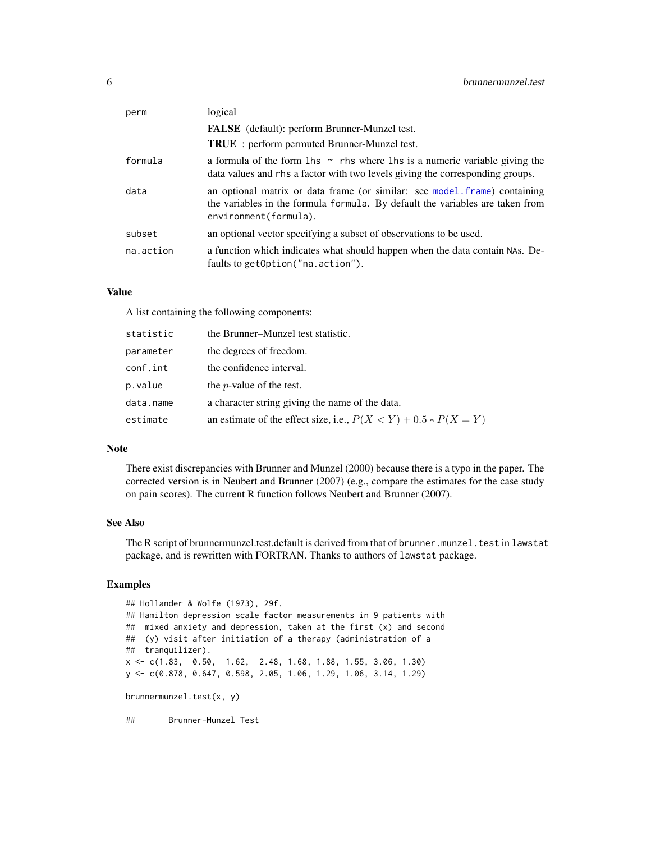<span id="page-5-0"></span>

| perm      | logical                                                                                                                                                                             |
|-----------|-------------------------------------------------------------------------------------------------------------------------------------------------------------------------------------|
|           | <b>FALSE</b> (default): perform Brunner-Munzel test.                                                                                                                                |
|           | <b>TRUE</b> : perform permuted Brunner-Munzel test.                                                                                                                                 |
| formula   | a formula of the form $\ln s \sim$ rhs where $\ln s$ is a numeric variable giving the<br>data values and rhs a factor with two levels giving the corresponding groups.              |
| data      | an optional matrix or data frame (or similar: see model.frame) containing<br>the variables in the formula formula. By default the variables are taken from<br>environment(formula). |
| subset    | an optional vector specifying a subset of observations to be used.                                                                                                                  |
| na.action | a function which indicates what should happen when the data contain NAs. De-<br>faults to getOption("na.action").                                                                   |

#### Value

A list containing the following components:

| statistic | the Brunner–Munzel test statistic.                                  |
|-----------|---------------------------------------------------------------------|
| parameter | the degrees of freedom.                                             |
| conf.int  | the confidence interval.                                            |
| p.value   | the $p$ -value of the test.                                         |
| data.name | a character string giving the name of the data.                     |
| estimate  | an estimate of the effect size, i.e., $P(X \le Y) + 0.5 * P(X = Y)$ |

#### Note

There exist discrepancies with Brunner and Munzel (2000) because there is a typo in the paper. The corrected version is in Neubert and Brunner (2007) (e.g., compare the estimates for the case study on pain scores). The current R function follows Neubert and Brunner (2007).

#### See Also

The R script of brunnermunzel.test.default is derived from that of brunner.munzel.test in lawstat package, and is rewritten with FORTRAN. Thanks to authors of lawstat package.

#### Examples

## Hollander & Wolfe (1973), 29f. ## Hamilton depression scale factor measurements in 9 patients with ## mixed anxiety and depression, taken at the first (x) and second ## (y) visit after initiation of a therapy (administration of a ## tranquilizer). x <- c(1.83, 0.50, 1.62, 2.48, 1.68, 1.88, 1.55, 3.06, 1.30) y <- c(0.878, 0.647, 0.598, 2.05, 1.06, 1.29, 1.06, 3.14, 1.29) brunnermunzel.test(x, y) ## Brunner-Munzel Test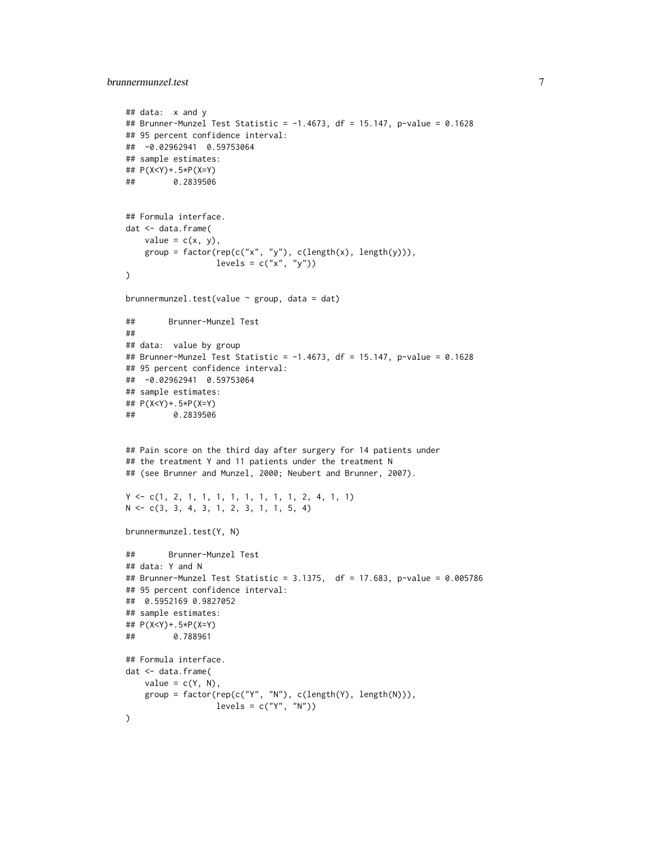```
## data: x and y
## Brunner-Munzel Test Statistic = -1.4673, df = 15.147, p-value = 0.1628
## 95 percent confidence interval:
## -0.02962941 0.59753064
## sample estimates:
## P(X<Y)+.5*P(X=Y)
## 0.2839506
## Formula interface.
dat <- data.frame(
   value = c(x, y),
   group = factor(rep(c("x", "y"), c(length(x), length(y))),
                  levels = c("x", "y")\lambdabrunnermunzel.test(value ~ group, data = dat)
## Brunner-Munzel Test
##
## data: value by group
## Brunner-Munzel Test Statistic = -1.4673, df = 15.147, p-value = 0.1628
## 95 percent confidence interval:
## -0.02962941 0.59753064
## sample estimates:
## P(X<Y)+.5*P(X=Y)
## 0.2839506
## Pain score on the third day after surgery for 14 patients under
## the treatment Y and 11 patients under the treatment N
## (see Brunner and Munzel, 2000; Neubert and Brunner, 2007).
Y <- c(1, 2, 1, 1, 1, 1, 1, 1, 1, 1, 2, 4, 1, 1)
N <- c(3, 3, 4, 3, 1, 2, 3, 1, 1, 5, 4)
brunnermunzel.test(Y, N)
## Brunner-Munzel Test
## data: Y and N
## Brunner-Munzel Test Statistic = 3.1375, df = 17.683, p-value = 0.005786
## 95 percent confidence interval:
## 0.5952169 0.9827052
## sample estimates:
## P(X<Y)+.5*P(X=Y)
## 0.788961
## Formula interface.
dat <- data.frame(
   value = c(Y, N),
   group = factor(rep(c("Y", "N"), c(length(Y), length(N))),
                  levels = c("Y", "N"))
```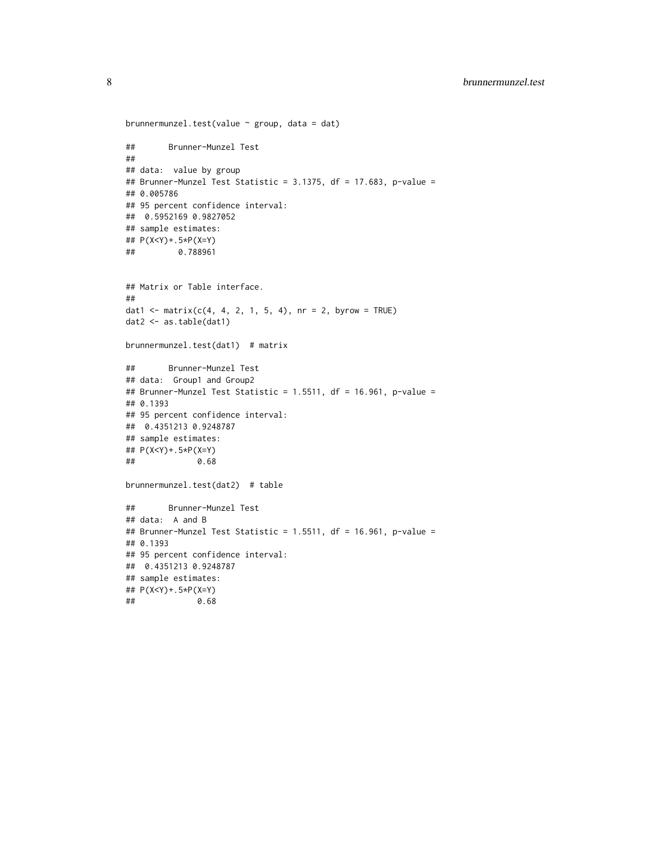```
brunnermunzel.test(value \sim group, data = dat)
## Brunner-Munzel Test
##
## data: value by group
## Brunner-Munzel Test Statistic = 3.1375, df = 17.683, p-value =
## 0.005786
## 95 percent confidence interval:
## 0.5952169 0.9827052
## sample estimates:
## P(X<Y)+.5*P(X=Y)
## 0.788961
## Matrix or Table interface.
##
dat1 <- matrix(c(4, 4, 2, 1, 5, 4), nr = 2, byrow = TRUE)dat2 <- as.table(dat1)
brunnermunzel.test(dat1) # matrix
## Brunner-Munzel Test
## data: Group1 and Group2
## Brunner-Munzel Test Statistic = 1.5511, df = 16.961, p-value =
## 0.1393
## 95 percent confidence interval:
## 0.4351213 0.9248787
## sample estimates:
## P(X<Y)+.5*P(X=Y)
## 0.68
brunnermunzel.test(dat2) # table
## Brunner-Munzel Test
## data: A and B
## Brunner-Munzel Test Statistic = 1.5511, df = 16.961, p-value =
## 0.1393
## 95 percent confidence interval:
## 0.4351213 0.9248787
## sample estimates:
## P(X<Y)+.5*P(X=Y)
## 0.68
```